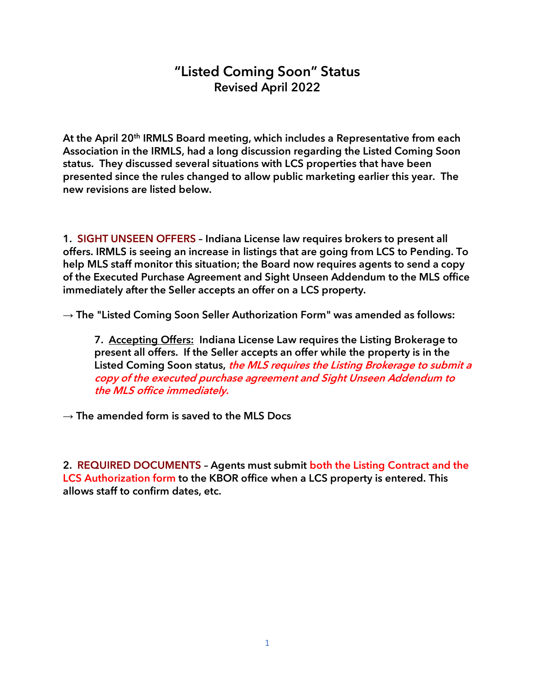## "Listed Coming Soon" Status Revised April 2022

At the April 20<sup>th</sup> IRMLS Board meeting, which includes a Representative from each Association in the IRMLS, had a long discussion regarding the Listed Coming Soon status. They discussed several situations with LCS properties that have been presented since the rules changed to allow public marketing earlier this year. The new revisions are listed below.

1. SIGHT UNSEEN OFFERS – Indiana License law requires brokers to present all offers. IRMLS is seeing an increase in listings that are going from LCS to Pending. To help MLS staff monitor this situation; the Board now requires agents to send a copy of the Executed Purchase Agreement and Sight Unseen Addendum to the MLS office immediately after the Seller accepts an offer on a LCS property.

→ The "Listed Coming Soon Seller Authorization Form" was amended as follows:

7. Accepting Offers: Indiana License Law requires the Listing Brokerage to present all offers. If the Seller accepts an offer while the property is in the Listed Coming Soon status, the MLS requires the Listing Brokerage to submit a copy of the executed purchase agreement and Sight Unseen Addendum to the MLS office immediately.

 $\rightarrow$  The amended form is saved to the MLS Docs

2. REQUIRED DOCUMENTS – Agents must submit both the Listing Contract and the LCS Authorization form to the KBOR office when a LCS property is entered. This allows staff to confirm dates, etc.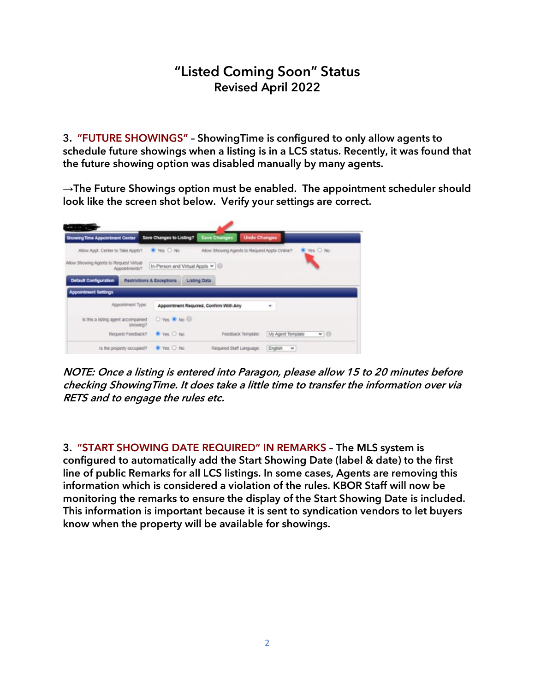## "Listed Coming Soon" Status Revised April 2022

3. "FUTURE SHOWINGS" – ShowingTime is configured to only allow agents to schedule future showings when a listing is in a LCS status. Recently, it was found that the future showing option was disabled manually by many agents.

 $\rightarrow$ The Future Showings option must be enabled. The appointment scheduler should look like the screen shot below. Verify your settings are correct.



NOTE: Once a listing is entered into Paragon, please allow 15 to 20 minutes before checking ShowingTime. It does take a little time to transfer the information over via RETS and to engage the rules etc.

3. "START SHOWING DATE REQUIRED" IN REMARKS – The MLS system is configured to automatically add the Start Showing Date (label & date) to the first line of public Remarks for all LCS listings. In some cases, Agents are removing this information which is considered a violation of the rules. KBOR Staff will now be monitoring the remarks to ensure the display of the Start Showing Date is included. This information is important because it is sent to syndication vendors to let buyers know when the property will be available for showings.